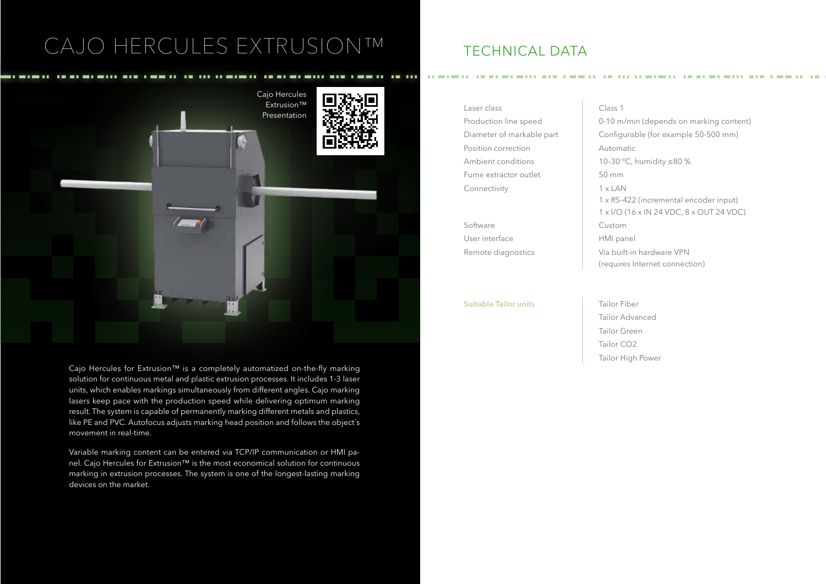## CAJO HERCULES EXTRUSION™



Cajo Hercules for Extrusion™ is a completely automatized on-the-fly marking solution for continuous metal and plastic extrusion processes. It includes 1-3 laser units, which enables markings simultaneously from different angles. Cajo marking lasers keep pace with the production speed while delivering optimum marking result. The system is capable of permanently marking different metals and plastics, like PE and PVC. Autofocus adjusts marking head position and follows the object´s movement in real-time.

Variable marking content can be entered via TCP/IP communication or HMI panel. Cajo Hercules for Extrusion™ is the most economical solution for continuous marking in extrusion processes. The system is one of the longest-lasting marking devices on the market.

### TECHNICAL DATA

Laser class Class 1 Production line speed 0-10 m/min (depends on marking content) Diameter of markable part Configurable (for example 50-500 mm) Position correction **Automatic** Ambient conditions 10-30 °C, humidity ≤80 % Fume extractor outlet 50 mm Connectivity 1 x LAN

Software Custom User interface HMI panel

**Suitable Tailor units** Tailor Fiber

1 x RS-422 (incremental encoder input) 1 x I/O (16 x IN 24 VDC, 8 x OUT 24 VDC) Remote diagnostics **Via built-in hardware VPN** (requires Internet connection)

> Tailor Advanced Tailor Green Tailor CO2 Tailor High Power